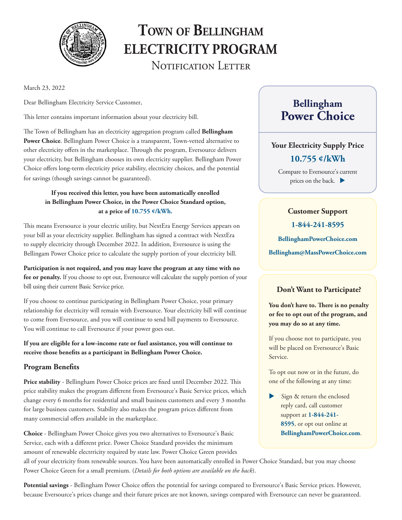

# **Town of Bellingham ELECTRICITY PROGRAM**  NOTIFICATION LETTER

March 23, 2022

Dear Bellingham Electricity Service Customer,

This letter contains important information about your electricity bill.

The Town of Bellingham has an electricity aggregation program called **Bellingham Power Choice**. Bellingham Power Choice is a transparent, Town-vetted alternative to other electricity offers in the marketplace. Through the program, Eversource delivers your electricity, but Bellingham chooses its own electricity supplier. Bellingham Power Choice offers long-term electricity price stability, electricity choices, and the potential for savings (though savings cannot be guaranteed).

#### **If you received this letter, you have been automatically enrolled in Bellingham Power Choice, in the Power Choice Standard option, at a price of 10.755 ¢/kWh.**

This means Eversource is your electric utility, but NextEra Energy Services appears on your bill as your electricity supplier. Bellingham has signed a contract with NextEra to supply electricity through December 2022. In addition, Eversource is using the Bellingam Power Choice price to calculate the supply portion of your electricity bill.

**Participation is not required, and you may leave the program at any time with no fee or penalty.** If you choose to opt out, Eversource will calculate the supply portion of your bill using their current Basic Service price.

If you choose to continue participating in Bellingham Power Choice, your primary relationship for electricity will remain with Eversource. Your electricity bill will continue to come from Eversource, and you will continue to send bill payments to Eversource. You will continue to call Eversource if your power goes out.

**If you are eligible for a low-income rate or fuel assistance, you will continue to receive those benefits as a participant in Bellingham Power Choice.**

#### **Program Benefits**

**Price stability** - Bellingham Power Choice prices are fixed until December 2022. This price stability makes the program different from Eversource's Basic Service prices, which change every 6 months for residential and small business customers and every 3 months for large business customers. Stability also makes the program prices different from many commercial offers available in the marketplace.

**Choice** - Bellingham Power Choice gives you two alternatives to Eversource's Basic Service, each with a different price. Power Choice Standard provides the minimum amount of renewable electrricity required by state law. Power Choice Green provides

all of your electricity from renewable sources. You have been automatically enrolled in Power Choice Standard, but you may choose Power Choice Green for a small premium. (*Details for both options are available on the back*).

**Potential savings** - Bellingham Power Choice offers the potential for savings compared to Eversource's Basic Service prices. However, because Eversource's prices change and their future prices are not known, savings compared with Eversource can never be guaranteed.

# **Bellingham Power Choice**

#### **Your Electricity Supply Price**

#### **10.755 ¢/kWh**

Compare to Eversource's current prices on the back.  $\blacktriangleright$ 

#### **Customer Support**

**1-844-241-8595**

**BellinghamPowerChoice.com**

**Bellingham@MassPowerChoice.com** 

#### **Don't Want to Participate?**

**You don't have to. There is no penalty or fee to opt out of the program, and you may do so at any time.**

If you choose not to participate, you will be placed on Eversource's Basic Service.

To opt out now or in the future, do one of the following at any time:

Sign & return the enclosed reply card, call customer support at **1-844-241- 8595**, or opt out online at **BellinghamPowerChoice.com**.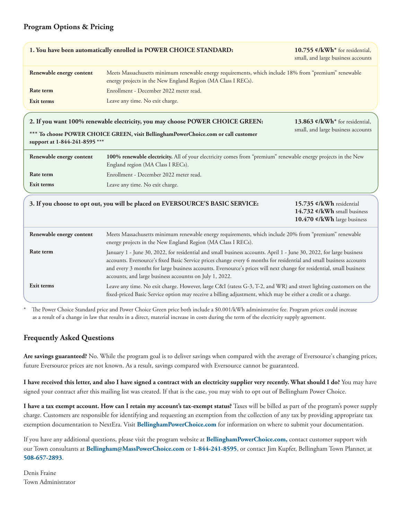#### **Program Options & Pricing**

|                                                                                                                                                                   | 1. You have been automatically enrolled in POWER CHOICE STANDARD:                                                                                                                                                                                                                                                                                                                                                             | 10.755 ¢/kWh <sup>*</sup> for residential,<br>small, and large business accounts       |
|-------------------------------------------------------------------------------------------------------------------------------------------------------------------|-------------------------------------------------------------------------------------------------------------------------------------------------------------------------------------------------------------------------------------------------------------------------------------------------------------------------------------------------------------------------------------------------------------------------------|----------------------------------------------------------------------------------------|
| Renewable energy content                                                                                                                                          | Meets Massachusetts minimum renewable energy requirements, which include 18% from "premium" renewable<br>energy projects in the New England Region (MA Class I RECs).                                                                                                                                                                                                                                                         |                                                                                        |
| <b>Rate term</b>                                                                                                                                                  | Enrollment - December 2022 meter read.                                                                                                                                                                                                                                                                                                                                                                                        |                                                                                        |
| Exit terms                                                                                                                                                        | Leave any time. No exit charge.                                                                                                                                                                                                                                                                                                                                                                                               |                                                                                        |
| 2. If you want 100% renewable electricity, you may choose POWER CHOICE GREEN:<br>13.863 ¢/kWh <sup>*</sup> for residential,<br>small, and large business accounts |                                                                                                                                                                                                                                                                                                                                                                                                                               |                                                                                        |
| *** To choose POWER CHOICE GREEN, visit BellinghamPowerChoice.com or call customer<br>support at 1-844-241-8595 ***                                               |                                                                                                                                                                                                                                                                                                                                                                                                                               |                                                                                        |
| Renewable energy content                                                                                                                                          | 100% renewable electricity. All of your electricity comes from "premium" renewable energy projects in the New<br>England region (MA Class I RECs).                                                                                                                                                                                                                                                                            |                                                                                        |
| Rate term                                                                                                                                                         | Enrollment - December 2022 meter read.                                                                                                                                                                                                                                                                                                                                                                                        |                                                                                        |
| Exit terms                                                                                                                                                        | Leave any time. No exit charge.                                                                                                                                                                                                                                                                                                                                                                                               |                                                                                        |
|                                                                                                                                                                   | 3. If you choose to opt out, you will be placed on EVERSOURCE'S BASIC SERVICE:                                                                                                                                                                                                                                                                                                                                                | 15.735 ¢/kWh residential<br>14.732 ¢/kWh small business<br>10.470 ¢/kWh large business |
| Renewable energy content                                                                                                                                          | Meets Massachusetts minimum renewable energy requirements, which include 20% from "premium" renewable<br>energy projects in the New England Region (MA Class I RECs).                                                                                                                                                                                                                                                         |                                                                                        |
| Rate term                                                                                                                                                         | January 1 - June 30, 2022, for residential and small business accounts. April 1 - June 30, 2022, for large business<br>accounts. Eversource's fixed Basic Service prices change every 6 months for residential and small business accounts<br>and every 3 months for large business accounts. Eversource's prices will next change for residential, small business<br>accounts, and large business accountss on July 1, 2022. |                                                                                        |
| Exit terms                                                                                                                                                        | Leave any time. No exit charge. However, large C&I (ratess G-3, T-2, and WR) and street lighting customers on the<br>fixed-priced Basic Service option may receive a billing adjustment, which may be either a credit or a charge.                                                                                                                                                                                            |                                                                                        |

The Power Choice Standard price and Power Choice Green price both include a \$0.001/kWh administrative fee. Program prices could increase as a result of a change in law that results in a direct, material increase in costs during the term of the electricity supply agreement.

#### **Frequently Asked Questions**

**Are savings guaranteed?** No. While the program goal is to deliver savings when compared with the average of Eversource's changing prices, future Eversource prices are not known. As a result, savings compared with Eversource cannot be guaranteed.

**I have received this letter, and also I have signed a contract with an electricity supplier very recently. What should I do?** You may have signed your contract after this mailing list was created. If that is the case, you may wish to opt out of Bellingham Power Choice.

**I have a tax exempt account. How can I retain my account's tax-exempt status?** Taxes will be billed as part of the program's power supply charge. Customers are responsible for identifying and requesting an exemption from the collection of any tax by providing appropriate tax exemption documentation to NextEra. Visit **BellinghamPowerChoice.com** for information on where to submit your documentation.

If you have any additional questions, please visit the program website at **BellinghamPowerChoice.com,** contact customer support with our Town consultants at **Bellingham@MassPowerChoice.com** or **1-844-241-8595**, or contact Jim Kupfer, Bellingham Town Planner, at **508-657-2893**.

Denis Fraine Town Administrator